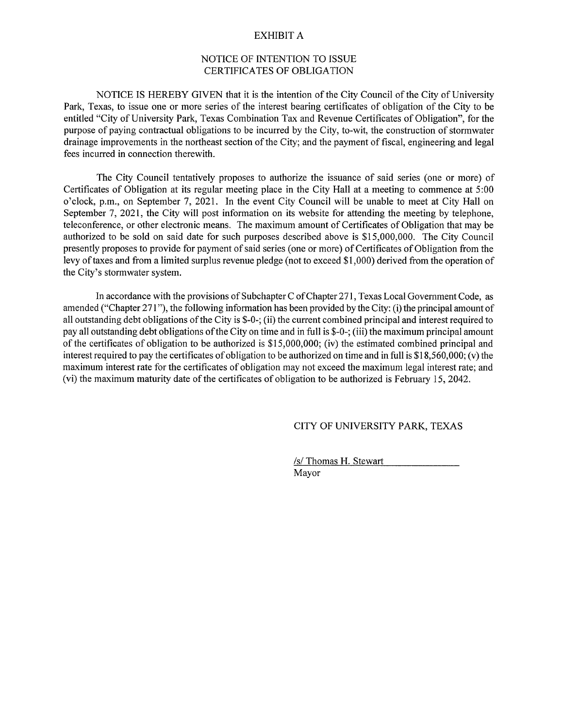#### EXHIBIT A

#### NOTICE OF INTENTION TO ISSUE CERTIFICATES OF OBLIGATION

NOTICE IS HEREBY GIVEN that it is the intention of the City Council of the City of University Park, Texas, to issue one or more series of the interest bearing certificates of obligation of the City to be entitled "City of University Park, Texas Combination Tax and Revenue Certificates of Obligation", for the purpose of paying contractual obligations to be incurred by the City, to-wit, the construction of stormwater drainage improvements in the northeast section of the City; and the payment of fiscal, engineering and legal fees incurred in connection therewith.

The City Council tentatively proposes to authorize the issuance of said series (one or more) of Certificates of Obligation at its regular meeting place in the City Hall at a meeting to commence at 5:00 o'clock, p.m., on September 7, 2021. In the event City Council will be unable to meet at City Hall on September 7, 2021, the City will post information on its website for attending the meeting by telephone, teleconference, or other electronic means. The maximum amount of Certificates of Obligation that may be authorized to be sold on said date for such purposes described above is \$15,000,000. The City Council presently proposes to provide for payment of said series (one or more) of Certificates of Obligation from the levy of taxes and from a limited surplus revenue pledge (not to exceed \$1,000) derived from the operation of the City's stormwater system.

In accordance with the provisions of Subchapter C of Chapter 271, Texas Local Government Code, as amended ("Chapter 271 "), the following information has been provided by the City: (i) the principal amount of all outstanding debt obligations of the City is \$-0-; (ii) the current combined principal and interest required to pay all outstanding debt obligations of the City on time and in full is \$-0-; (iii) the maximum principal amount of the certificates of obligation to be authorized is \$15,000,000; (iv) the estimated combined principal and interest required to pay the certificates of obligation to be authorized on time and in full is \$18,560,000; (v) the maximum interest rate for the certificates of obligation may not exceed the maximum legal interest rate; and (vi) the maximum maturity date of the certificates of obligation to be authorized is February 15, 2042.

### CITY OF UNIVERSITY PARK, TEXAS

/s/ Thomas H. Stewart Mayor